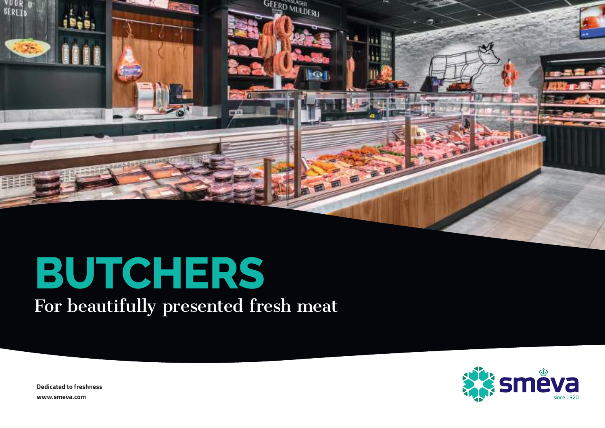

# **BUTCHERS**

For beautifully presented fresh meat

**STEVE** 

**Dedicated to freshness [www.smeva.com](https://www.smeva.com/nl/)**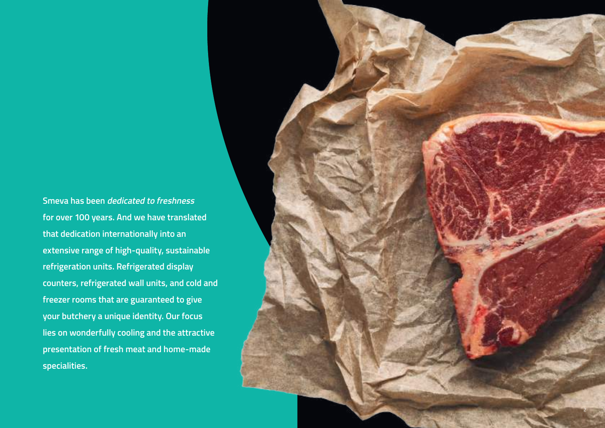**Smeva has been dedicated to freshness for over 100 years. And we have translated that dedication internationally into an extensive range of high-quality, sustainable refrigeration units. Refrigerated display counters, refrigerated wall units, and cold and freezer rooms that are guaranteed to give your butchery a unique identity. Our focus lies on wonderfully cooling and the attractive presentation of fresh meat and home-made specialities.** 

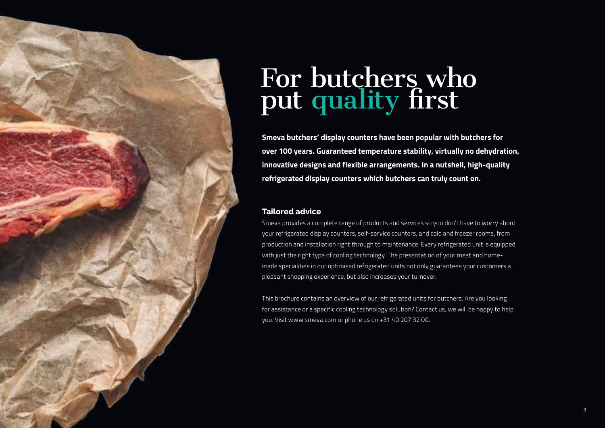

# For butchers who put quality first

**Smeva butchers' display counters have been popular with butchers for over 100 years. Guaranteed temperature stability, virtually no dehydration, innovative designs and flexible arrangements. In a nutshell, high-quality refrigerated display counters which butchers can truly count on.** 

### **Tailored advice**

Smeva provides a complete range of products and services so you don't have to worry about your refrigerated display counters, self-service counters, and cold and freezer rooms, from production and installation right through to maintenance. Every refrigerated unit is equipped with just the right type of cooling technology. The presentation of your meat and homemade specialities in our optimised refrigerated units not only guarantees your customers a pleasant shopping experience, but also increases your turnover.

This brochure contains an overview of our refrigerated units for butchers. Are you looking for assistance or a specific cooling technology solution? Contact us, we will be happy to help you. Visit www.smeva.com or phone us on +31 40 207 32 00.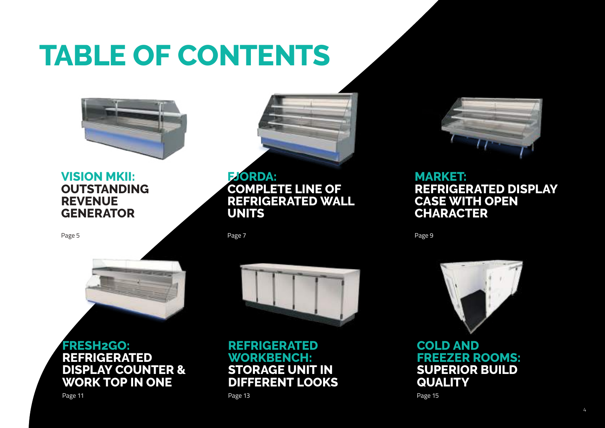# **TABLE OF CONTENTS**



# **[VISION MKII:](#page-4-0)  [OUTSTANDING](#page-4-0)  [REVENUE](#page-4-0)  [GENERATOR](#page-4-0)**

[Page 5](#page-4-0)



**[FJORDA:](#page-6-0)  [COMPLETE LINE OF](#page-6-0)  [REFRIGERATED WALL](#page-6-0)  [UNITS](#page-6-0)**

[Page 7](#page-6-0)



# **[FRESH2GO:](#page-10-0)  [REFRIGERATED](#page-10-0)  [DISPLAY COUNTER &](#page-10-0)  [WORK TOP IN ONE](#page-10-0)**



**REFRIGERATED WORKBENCH: STORAGE UNIT IN DIFFERENT LOOKS**



# **[MARKET:](#page-8-0)  [REFRIGERATED DISPLAY](#page-8-0)  [CASE WITH OPEN](#page-8-0)  [CHARACTER](#page-8-0)**

[Page 9](#page-8-0)



**COLD AND FREEZER ROOMS: SUPERI[OR](#page-14-0) BUILD QUALITY**

[Page 15](#page-14-0)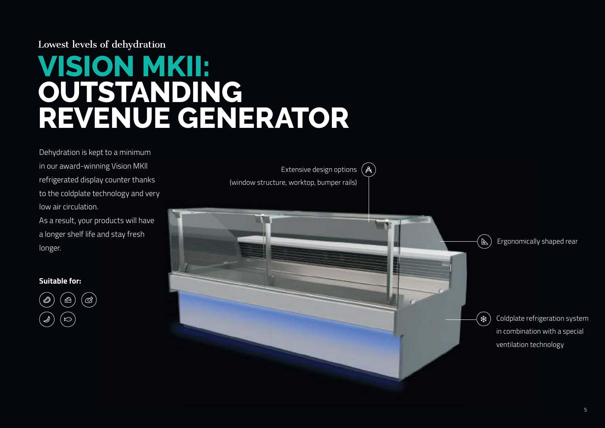## <span id="page-4-0"></span>Lowest levels of dehydration

# **VISION MKII: OUTSTANDING REVENUE GENERATOR**

Dehydration is kept to a minimum in our award-winning Vision MKll refrigerated display counter thanks to the coldplate technology and very low air circulation.

As a result, your products will have a longer shelf life and stay fresh longer.



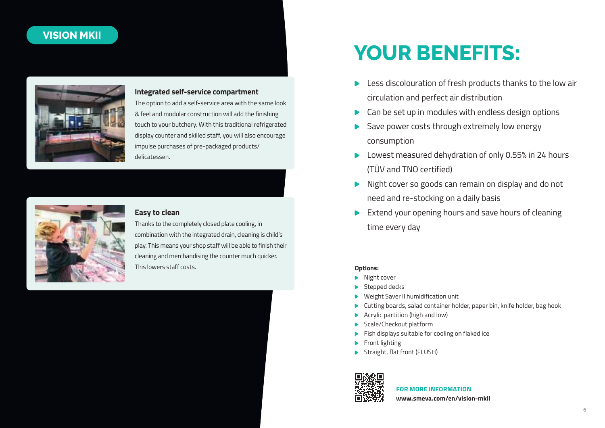### **VISION MKII**



### **Integrated self-service compartment**

The option to add a self-service area with the same look & feel and modular construction will add the finishing touch to your butchery. With this traditional refrigerated display counter and skilled staff, you will also encourage impulse purchases of pre-packaged products/ delicatessen.



### **Easy to clean**

Thanks to the completely closed plate cooling, in combination with the integrated drain, cleaning is child's play. This means your shop staff will be able to finish their cleaning and merchandising the counter much quicker. This lowers staff costs.

# **YOUR BENEFITS:**

- **Less discolouration of fresh products thanks to the low air** circulation and perfect air distribution
- ▶ Can be set up in modules with endless design options
- Save power costs through extremely low energy consumption
- Lowest measured dehydration of only 0.55% in 24 hours (TÜV and TNO certified)
- Night cover so goods can remain on display and do not need and re-stocking on a daily basis
- Extend your opening hours and save hours of cleaning time every day

#### **Options:**

- Night cover
- Stepped decks
- Weight Saver ll humidification unit
- Cutting boards, salad container holder, paper bin, knife holder, bag hook
- Acrylic partition (high and low)
- Scale/Checkout platform
- $\blacktriangleright$  Fish displays suitable for cooling on flaked ice
- Front lighting
- Straight, flat front (FLUSH)



### **FOR MORE INFORMATION**

**www.smeva.com/en/vision-mkll**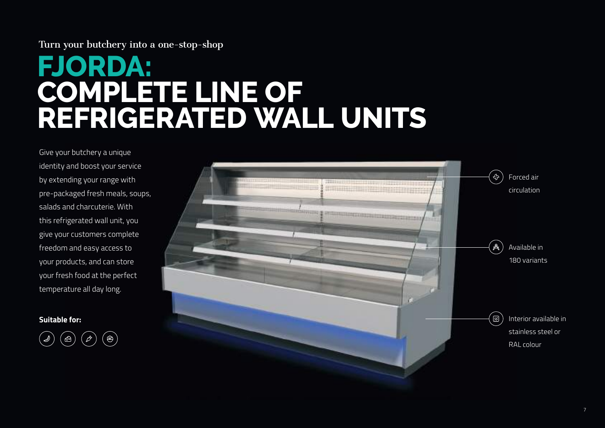# <span id="page-6-0"></span>Turn your butchery into a one-stop-shop

# **FJORDA: COMPLETE LINE OF REFRIGERATED WALL UNITS**

Give your butchery a unique identity and boost your service by extending your range with pre-packaged fresh meals, soups, salads and charcuterie. With this refrigerated wall unit, you give your customers complete freedom and easy access to your products, and can store your fresh food at the perfect temperature all day long.



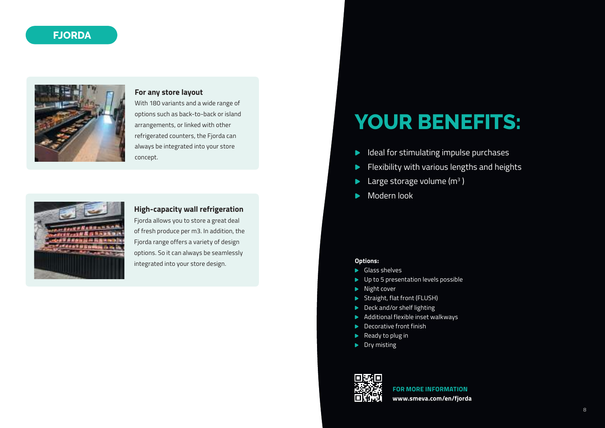## **FJORDA**



#### **For any store layout**

With 180 variants and a wide range of options such as back-to-back or island arrangements, or linked with other refrigerated counters, the Fjorda can always be integrated into your store concept.



### **High-capacity wall refrigeration**

Fjorda allows you to store a great deal of fresh produce per m3. In addition, the Fjorda range offers a variety of design options. So it can always be seamlessly integrated into your store design.

# **YOUR BENEFITS:**

- Ideal for stimulating impulse purchases  $\blacktriangleright$
- Flexibility with various lengths and heights
- Large storage volume ( $m<sup>3</sup>$  )
- Modern look  $\blacktriangleright$

#### **Options:**

- Glass shelves
- ▶ Up to 5 presentation levels possible
- Night cover
- Straight, flat front (FLUSH)
- Deck and/or shelf lighting
- Additional flexible inset walkways
- **Decorative front finish**
- Ready to plug in
- $\blacktriangleright$  Dry misting



**FOR MORE INFORMATION www.smeva.com/en/fjorda**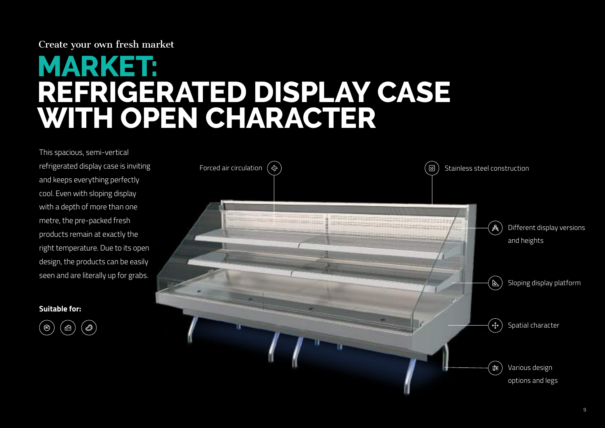### <span id="page-8-0"></span>Create your own fresh market

# **MARKET: REFRIGERATED DISPLAY CASE WITH OPEN CHARACTER**

This spacious, semi-vertical refrigerated display case is inviting and keeps everything perfectly cool. Even with sloping display with a depth of more than one metre, the pre-packed fresh products remain at exactly the right temperature. Due to its open design, the products can be easily seen and are literally up for grabs.



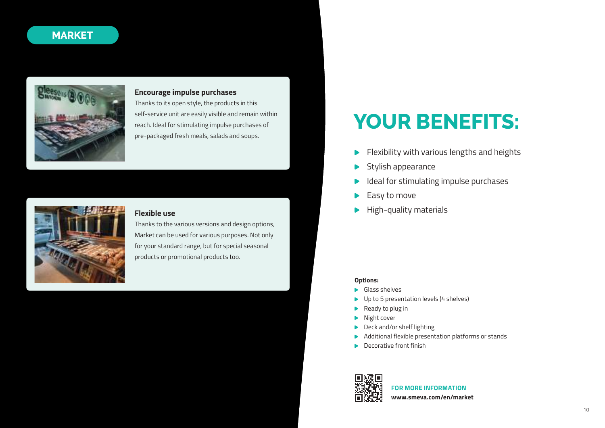### **MARKET**



#### **Encourage impulse purchases**

Thanks to its open style, the products in this self-service unit are easily visible and remain within reach. Ideal for stimulating impulse purchases of pre-packaged fresh meals, salads and soups.



#### **Flexible use**

Thanks to the various versions and design options, Market can be used for various purposes. Not only for your standard range, but for special seasonal products or promotional products too.

# **YOUR BENEFITS:**

- Flexibility with various lengths and heights  $\blacktriangleright$
- Stylish appearance
- Ideal for stimulating impulse purchases
- Easy to move
- High-quality materials

#### **Options:**

- Glass shelves
- ▶ Up to 5 presentation levels (4 shelves)
- Ready to plug in
- Night cover
- Deck and/or shelf lighting
- Additional flexible presentation platforms or stands
- **Decorative front finish**



#### **FOR MORE INFORMATION**

**www.smeva.com/en/market**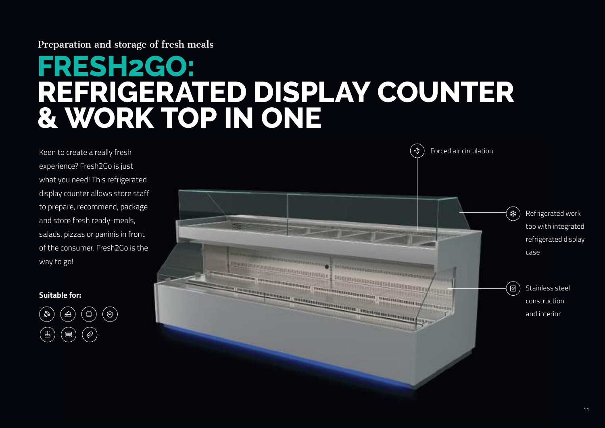### <span id="page-10-0"></span>Preparation and storage of fresh meals

# **FRESH2GO: REFRIGERATED DISPLAY COUNTER & WORK TOP IN ONE**

Keen to create a really fresh experience? Fresh2Go is just what you need! This refrigerated display counter allows store staff to prepare, recommend, package and store fresh ready-meals, salads, pizzas or paninis in front of the consumer. Fresh2Go is the way to go!



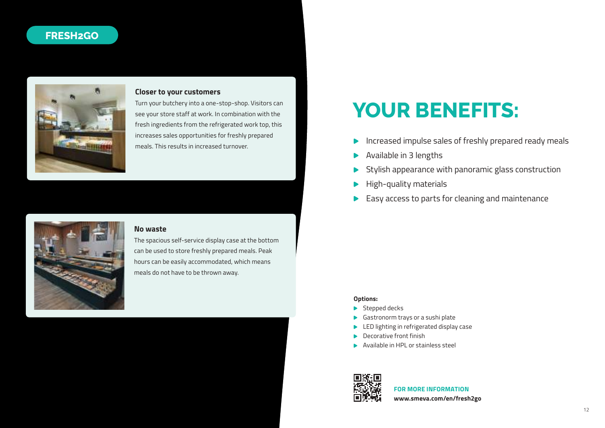# **FRESH2GO**



#### **Closer to your customers**

Turn your butchery into a one-stop-shop. Visitors can see your store staff at work. In combination with the fresh ingredients from the refrigerated work top, this increases sales opportunities for freshly prepared



#### **No waste**

The spacious self-service display case at the bottom can be used to store freshly prepared meals. Peak hours can be easily accommodated, which means meals do not have to be thrown away.

# **YOUR BENEFITS:**

- mercases sales opportunities for freshly prepared<br>meals. This results in increased turnover.
	- Available in 3 lengths
	- Stylish appearance with panoramic glass construction
	- High-quality materials
	- Easy access to parts for cleaning and maintenance

#### **Options:**

- Stepped decks
- Gastronorm trays or a sushi plate
- LED lighting in refrigerated display case
- Decorative front finish
- Available in HPL or stainless steel



**FOR MORE INFORMATION www.smeva.com/en/fresh2go**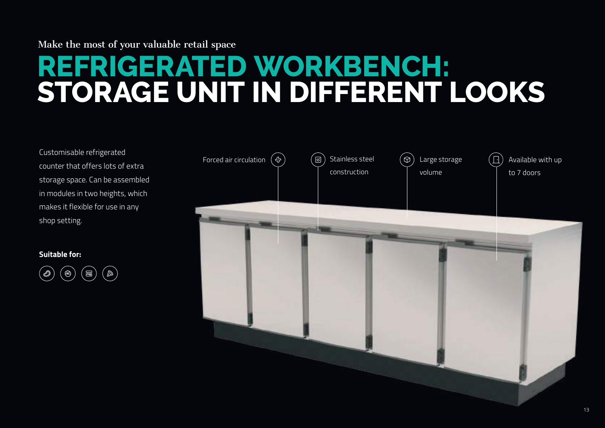# <span id="page-12-0"></span>Make the most of your valuable retail space

# **REFRIGERATED WORKBENCH: STORAGE UNIT IN DIFFERENT LOOKS**

Customisable refrigerated counter that offers lots of extra storage space. Can be assembled in modules in two heights, which makes it flexible for use in any shop setting.



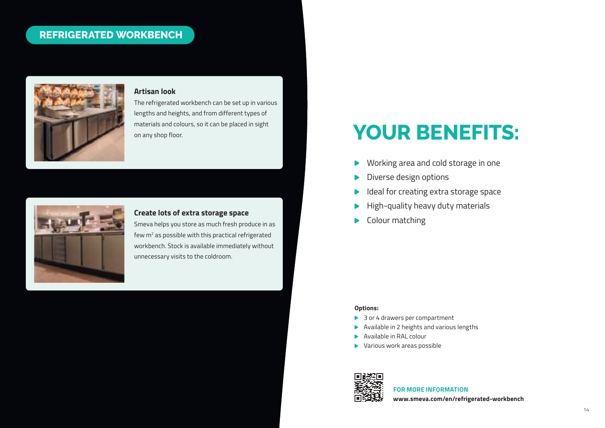### **REFRIGERATED WORKBENCH**



### **Artisan look**

The refrigerated workbench can be set up in various lengths and heights, and from different types of materials and colours, so it can be placed in sight on any shop floor.



#### **Create lots of extra storage space**

Smeva helps you store as much fresh produce in as few m<sup>2</sup> as possible with this practical refrigerated workbench. Stock is available immediately without unnecessary visits to the coldroom.

# **YOUR BENEFITS:**

- Working area and cold storage in one
- Diverse design options
- Ideal for creating extra storage space
- High-quality heavy duty materials
- $\blacktriangleright$  Colour matching

#### **Options:**

- ▶ 3 or 4 drawers per compartment
- Available in 2 heights and various lengths
- Available in RAL colour
- Various work areas possible



# **FOR MORE INFORMATION**

**www.smeva.com/en/refrigerated-workbench**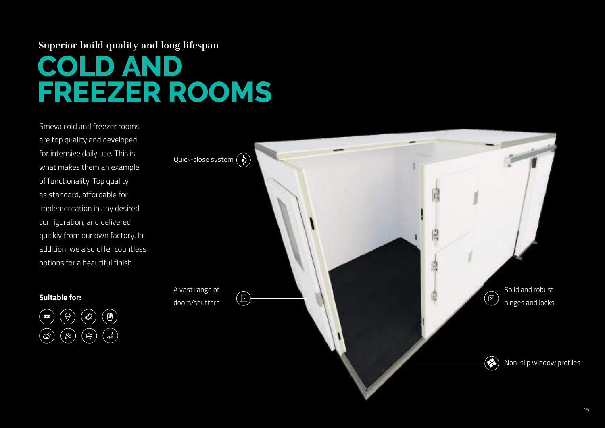# <span id="page-14-0"></span>Superior build quality and long lifespan

# **COLD AND FREEZER ROOMS**

Smeva cold and freezer rooms are top quality and developed for intensive daily use. This is what makes them an example of functionality. Top quality as standard, affordable for implementation in any desired configuration, and delivered quickly from our own factory. In addition, we also offer countless options for a beautiful finish.



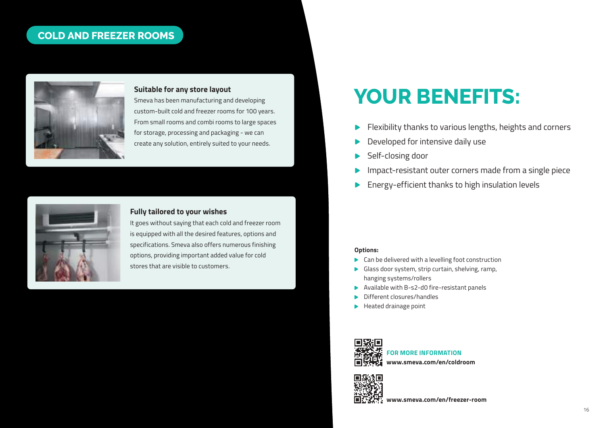# **COLD AND FREEZER ROOMS**



### **Suitable for any store layout**

Smeva has been manufacturing and developing custom-built cold and freezer rooms for 100 years. From small rooms and combi rooms to large spaces for storage, processing and packaging - we can create any solution, entirely suited to your needs.



#### **Fully tailored to your wishes**

It goes without saying that each cold and freezer room is equipped with all the desired features, options and specifications. Smeva also offers numerous finishing options, providing important added value for cold stores that are visible to customers.

# **YOUR BENEFITS:**

- Flexibility thanks to various lengths, heights and corners
- Developed for intensive daily use
- Self-closing door
- Impact-resistant outer corners made from a single piece
- Energy-efficient thanks to high insulation levels

#### **Options:**

- ▶ Can be delivered with a levelling foot construction
- Glass door system, strip curtain, shelving, ramp, hanging systems/rollers
- Available with B-s2-d0 fire-resistant panels
- Different closures/handles
- Heated drainage point



**FOR MORE INFORMATION www.smeva.com/en/coldroom**



**www.smeva.com/en/freezer-room**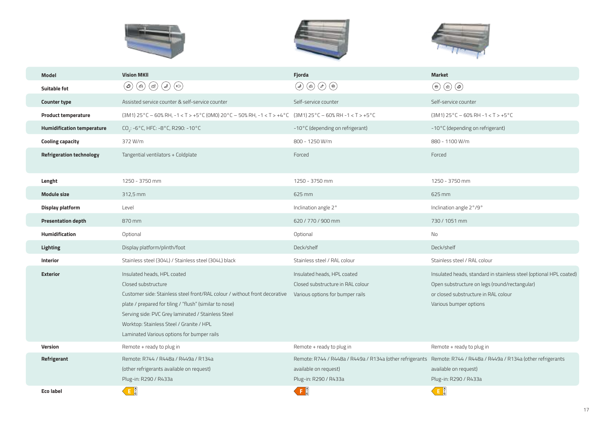





| Model                             | <b>Vision MKII</b>                                                                                                                                                                                                                                                                                                                          | Fjorda                                                                                               | <b>Market</b>                                                                                                                                                                         |
|-----------------------------------|---------------------------------------------------------------------------------------------------------------------------------------------------------------------------------------------------------------------------------------------------------------------------------------------------------------------------------------------|------------------------------------------------------------------------------------------------------|---------------------------------------------------------------------------------------------------------------------------------------------------------------------------------------|
| Suitable fot                      | $(\mathscr{O})$<br>$\circledcirc$<br>$(\infty)$<br>$(\textcolor{red}{\bullet})$<br>$(\mathscr{S})$                                                                                                                                                                                                                                          | $\circledcirc$<br>$(\mathscr{E})$<br>$\circledcirc$<br>$\circledast$                                 | ◉<br>$\circledcirc$                                                                                                                                                                   |
| <b>Counter type</b>               | Assisted service counter & self-service counter                                                                                                                                                                                                                                                                                             | Self-service counter                                                                                 | Self-service counter                                                                                                                                                                  |
| <b>Product temperature</b>        | (3M1) 25°C - 60% RH, -1 < T > +5°C (0M0) 20°C - 50% RH, -1 < T > +4°C (3M1) 25°C - 60% RH -1 < T > +5°C                                                                                                                                                                                                                                     |                                                                                                      | $(3M1) 25^{\circ}$ C - 60% RH -1 < T > +5 °C                                                                                                                                          |
| <b>Humidification temperature</b> | $CO_2$ : -6°C, HFC: -8°C, R290: -10°C                                                                                                                                                                                                                                                                                                       | -10°C (depending on refrigerant)                                                                     | -10°C (depending on refrigerant)                                                                                                                                                      |
| <b>Cooling capacity</b>           | 372 W/m                                                                                                                                                                                                                                                                                                                                     | 800 - 1250 W/m                                                                                       | 880 - 1100 W/m                                                                                                                                                                        |
| <b>Refrigeration technology</b>   | Tangential ventilators + Coldplate                                                                                                                                                                                                                                                                                                          | Forced                                                                                               | Forced                                                                                                                                                                                |
|                                   |                                                                                                                                                                                                                                                                                                                                             |                                                                                                      |                                                                                                                                                                                       |
| Lenght                            | 1250 - 3750 mm                                                                                                                                                                                                                                                                                                                              | 1250 - 3750 mm                                                                                       | 1250 - 3750 mm                                                                                                                                                                        |
| <b>Module size</b>                | 312,5 mm                                                                                                                                                                                                                                                                                                                                    | 625 mm                                                                                               | 625 mm                                                                                                                                                                                |
| Display platform                  | Level                                                                                                                                                                                                                                                                                                                                       | Inclination angle 2°                                                                                 | Inclination angle 2°/9°                                                                                                                                                               |
| <b>Presentation depth</b>         | 870 mm                                                                                                                                                                                                                                                                                                                                      | 620 / 770 / 900 mm                                                                                   | 730 / 1051 mm                                                                                                                                                                         |
| Humidification                    | Optional                                                                                                                                                                                                                                                                                                                                    | Optional                                                                                             | No                                                                                                                                                                                    |
| <b>Lighting</b>                   | Display platform/plinth/foot                                                                                                                                                                                                                                                                                                                | Deck/shelf                                                                                           | Deck/shelf                                                                                                                                                                            |
| Interior                          | Stainless steel (304L) / Stainless steel (304L) black                                                                                                                                                                                                                                                                                       | Stainless steel / RAL colour                                                                         | Stainless steel / RAL colour                                                                                                                                                          |
| <b>Exterior</b>                   | Insulated heads, HPL coated<br>Closed substructure<br>Customer side: Stainless steel front/RAL colour / without front decorative<br>plate / prepared for tiling / "flush" (similar to nose)<br>Serving side: PVC Grey laminated / Stainless Steel<br>Worktop: Stainless Steel / Granite / HPL<br>Laminated Various options for bumper rails | Insulated heads, HPL coated<br>Closed substructure in RAL colour<br>Various options for bumper rails | Insulated heads, standard in stainless steel (optional HPL coated)<br>Open substructure on legs (round/rectangular)<br>or closed substructure in RAL colour<br>Various bumper options |
| <b>Version</b>                    | Remote + ready to plug in                                                                                                                                                                                                                                                                                                                   | Remote + ready to plug in                                                                            | Remote + ready to plug in                                                                                                                                                             |
| Refrigerant                       | Remote: R744 / R448a / R449a / R134a<br>(other refrigerants available on request)<br>Plug-in: R290 / R433a                                                                                                                                                                                                                                  | available on request)<br>Plug-in: R290 / R433a                                                       | Remote: R744 / R448a / R449a / R134a (other refrigerants Remote: R744 / R448a / R449a / R134a (other refrigerants<br>available on request)<br>Plug-in: R290 / R433a                   |
| <b>Eco label</b>                  | $E^A_{\dot{G}}$                                                                                                                                                                                                                                                                                                                             | $F \frac{A}{A}$                                                                                      | $E \frac{A}{G}$                                                                                                                                                                       |

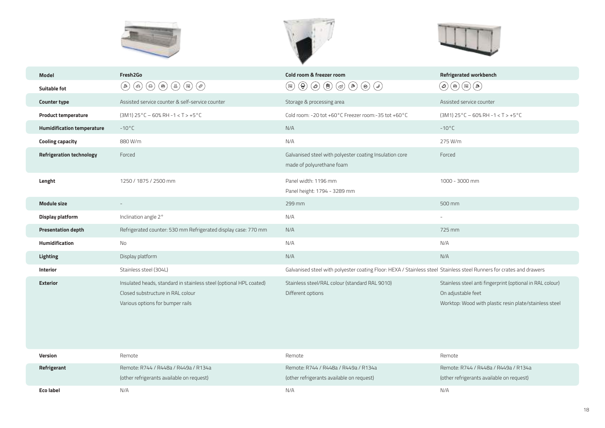





| <b>Model</b>                      | Fresh <sub>2Go</sub>                                                                                                                                                                                                                                                                        | Cold room & freezer room                                                                                                                                                    | <b>Refrigerated workbench</b>                                                                                                             |
|-----------------------------------|---------------------------------------------------------------------------------------------------------------------------------------------------------------------------------------------------------------------------------------------------------------------------------------------|-----------------------------------------------------------------------------------------------------------------------------------------------------------------------------|-------------------------------------------------------------------------------------------------------------------------------------------|
| <b>Suitable fot</b>               | $\left(\begin{matrix} \circledast \end{matrix}\right) \left(\begin{matrix} \circledast \end{matrix}\right) \left(\begin{matrix} \circledast \end{matrix}\right) \left(\begin{matrix} \circledast \end{matrix}\right)$<br>$(\textcolor{red}{\bullet})$<br>$(\circledast)$<br>$(\circledast)$ | $\textcircled{\scriptsize{0}} \textcircled{\scriptsize{0}} \textcircled{\scriptsize{0}} \textcircled{\scriptsize{0}} \textcircled{\scriptsize{0}}$<br>$\circledcirc$<br>(≊) | $(\circledast)(\circledast)(\circledast)$<br>$(\oslash)$                                                                                  |
| <b>Counter type</b>               | Assisted service counter & self-service counter                                                                                                                                                                                                                                             | Storage & processing area                                                                                                                                                   | Assisted service counter                                                                                                                  |
| <b>Product temperature</b>        | $(3M1) 25^{\circ}$ C - 60% RH -1 < T > +5 $^{\circ}$ C                                                                                                                                                                                                                                      | Cold room: -20 tot +60°C Freezer room:-35 tot +60°C                                                                                                                         | $(3M1) 25^{\circ}$ C – 60% RH -1 < T > +5 $^{\circ}$ C                                                                                    |
| <b>Humidification temperature</b> | $-10^{\circ}$ C                                                                                                                                                                                                                                                                             | N/A                                                                                                                                                                         | $-10^{\circ}$ C                                                                                                                           |
| <b>Cooling capacity</b>           | 880 W/m                                                                                                                                                                                                                                                                                     | N/A                                                                                                                                                                         | 275 W/m                                                                                                                                   |
| <b>Refrigeration technology</b>   | Forced                                                                                                                                                                                                                                                                                      | Galvanised steel with polyester coating Insulation core<br>made of polyurethane foam                                                                                        | Forced                                                                                                                                    |
| Lenght                            | 1250 / 1875 / 2500 mm                                                                                                                                                                                                                                                                       | Panel width: 1196 mm<br>Panel height: 1794 - 3289 mm                                                                                                                        | 1000 - 3000 mm                                                                                                                            |
| <b>Module size</b>                | $\qquad \qquad -$                                                                                                                                                                                                                                                                           | 299 mm                                                                                                                                                                      | 500 mm                                                                                                                                    |
| Display platform                  | Inclination angle 2°                                                                                                                                                                                                                                                                        | N/A                                                                                                                                                                         | $\overline{\phantom{a}}$                                                                                                                  |
| <b>Presentation depth</b>         | Refrigerated counter: 530 mm Refrigerated display case: 770 mm                                                                                                                                                                                                                              | N/A                                                                                                                                                                         | 725 mm                                                                                                                                    |
| <b>Humidification</b>             | No                                                                                                                                                                                                                                                                                          | N/A                                                                                                                                                                         | N/A                                                                                                                                       |
| <b>Lighting</b>                   | Display platform                                                                                                                                                                                                                                                                            | N/A                                                                                                                                                                         | N/A                                                                                                                                       |
| Interior                          | Stainless steel (304L)                                                                                                                                                                                                                                                                      | Galvanised steel with polyester coating Floor: HEXA / Stainless steel Stainless steel Runners for crates and drawers                                                        |                                                                                                                                           |
| <b>Exterior</b>                   | Insulated heads, standard in stainless steel (optional HPL coated)<br>Closed substructure in RAL colour<br>Various options for bumper rails                                                                                                                                                 | Stainless steel/RAL colour (standard RAL 9010)<br>Different options                                                                                                         | Stainless steel anti fingerprint (optional in RAL colour)<br>On adjustable feet<br>Worktop: Wood with plastic resin plate/stainless steel |

| Version          | Remote                                    | Remote                                    | Remote                                    |
|------------------|-------------------------------------------|-------------------------------------------|-------------------------------------------|
| Refrigerant      | Remote: R744 / R448a / R449a / R134a      | Remote: R744 / R448a / R449a / R134a      | Remote: R744 / R448a / R449a / R134a      |
|                  | (other refrigerants available on request) | (other refrigerants available on request) | (other refrigerants available on request) |
| <b>Eco label</b> | N/A                                       | N/A                                       | N/A                                       |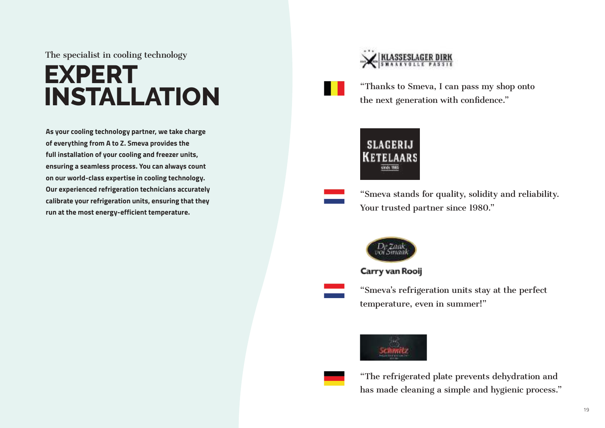The specialist in cooling technology

# **EXPERT INSTALLATION**

**As your cooling technology partner, we take charge of everything from A to Z. Smeva provides the full installation of your cooling and freezer units, ensuring a seamless process. You can always count on our world-class expertise in cooling technology. Our experienced refrigeration technicians accurately calibrate your refrigeration units, ensuring that they run at the most energy-efficient temperature.**



"Thanks to Smeva, I can pass my shop onto the next generation with confidence."



"Smeva stands for quality, solidity and reliability. Your trusted partner since 1980."



Carry van Rooij

"Smeva's refrigeration units stay at the perfect temperature, even in summer!"



"The refrigerated plate prevents dehydration and has made cleaning a simple and hygienic process."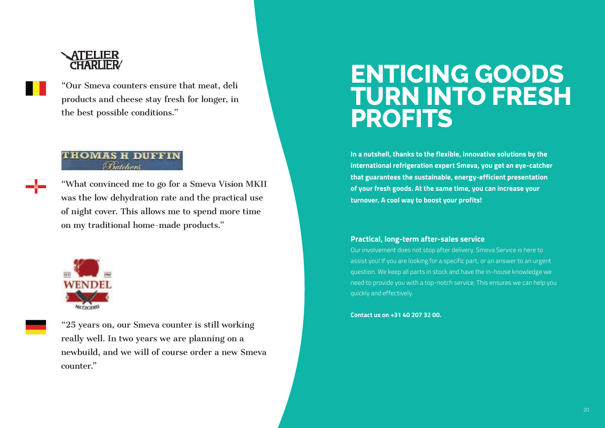# ATELIER

"Our Smeva counters ensure that meat, deli products and cheese stay fresh for longer, in the best possible conditions."

### **THOMAS H DUFFIN** Butcher

"What convinced me to go for a Smeva Vision MKII was the low dehydration rate and the practical use of night cover. This allows me to spend more time on my traditional home-made products."



"25 years on, our Smeva counter is still working really well. In two years we are planning on a newbuild, and we will of course order a new Smeva counter."

# **ENTICING GOODS TURN INTO FRESH PROFITS**

**In a nutshell, thanks to the flexible, innovative solutions by the international refrigeration expert Smeva, you get an eye-catcher that guarantees the sustainable, energy-efficient presentation of your fresh goods. At the same time, you can increase your turnover. A cool way to boost your profits!**

### **Practical, long-term after-sales service**

Our involvement does not stop after delivery. Smeva Service is here to assist you! If you are looking for a specific part, or an answer to an urgent question. We keep all parts in stock and have the in-house knowledge we need to provide you with a top-notch service. This ensures we can help you quickly and effectively.

#### **Contact us on +31 40 207 32 00.**